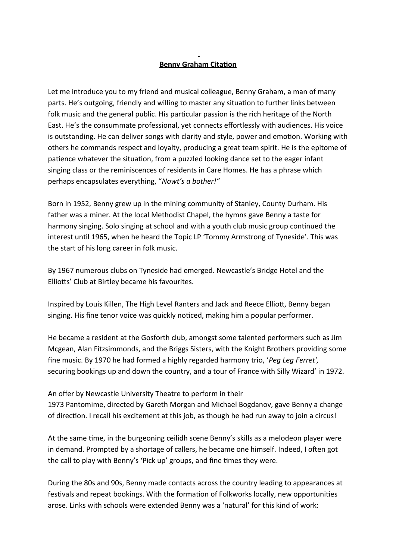## **Benny Graham Citation**

Let me introduce you to my friend and musical colleague, Benny Graham, a man of many parts. He's outgoing, friendly and willing to master any situation to further links between folk music and the general public. His particular passion is the rich heritage of the North East. He's the consummate professional, yet connects effortlessly with audiences. His voice is outstanding. He can deliver songs with clarity and style, power and emotion. Working with others he commands respect and loyalty, producing a great team spirit. He is the epitome of patience whatever the situation, from a puzzled looking dance set to the eager infant singing class or the reminiscences of residents in Care Homes. He has a phrase which perhaps encapsulates everything, "*Nowt's a bother!"*

Born in 1952, Benny grew up in the mining community of Stanley, County Durham. His father was a miner. At the local Methodist Chapel, the hymns gave Benny a taste for harmony singing. Solo singing at school and with a youth club music group continued the interest until 1965, when he heard the Topic LP 'Tommy Armstrong of Tyneside'. This was the start of his long career in folk music.

By 1967 numerous clubs on Tyneside had emerged. Newcastle's Bridge Hotel and the Elliotts' Club at Birtley became his favourites.

Inspired by Louis Killen, The High Level Ranters and Jack and Reece Elliott, Benny began singing. His fine tenor voice was quickly noticed, making him a popular performer.

He became a resident at the Gosforth club, amongst some talented performers such as Jim Mcgean, Alan Fitzsimmonds, and the Briggs Sisters, with the Knight Brothers providing some fine music. By 1970 he had formed a highly regarded harmony trio, '*Peg Leg Ferret',* securing bookings up and down the country, and a tour of France with Silly Wizard' in 1972.

An offer by Newcastle University Theatre to perform in their 1973 Pantomime, directed by Gareth Morgan and Michael Bogdanov, gave Benny a change of direction. I recall his excitement at this job, as though he had run away to join a circus!

At the same time, in the burgeoning ceilidh scene Benny's skills as a melodeon player were in demand. Prompted by a shortage of callers, he became one himself. Indeed, I often got the call to play with Benny's 'Pick up' groups, and fine times they were.

During the 80s and 90s, Benny made contacts across the country leading to appearances at festivals and repeat bookings. With the formation of Folkworks locally, new opportunities arose. Links with schools were extended Benny was a 'natural' for this kind of work: